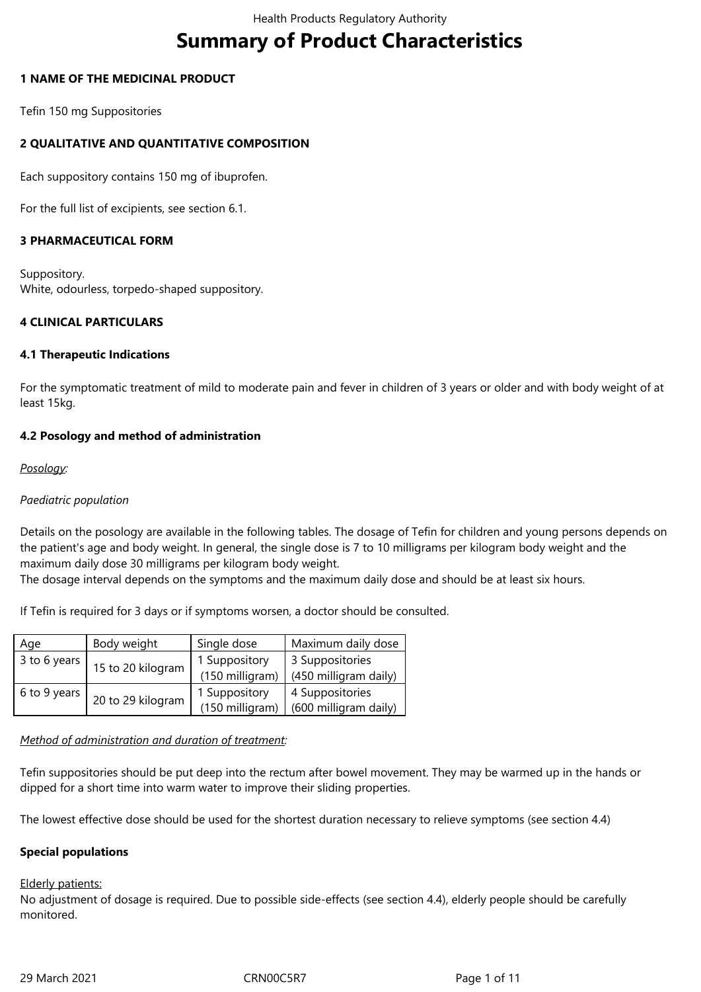# **Summary of Product Characteristics**

## **1 NAME OF THE MEDICINAL PRODUCT**

Tefin 150 mg Suppositories

# **2 QUALITATIVE AND QUANTITATIVE COMPOSITION**

Each suppository contains 150 mg of ibuprofen.

For the full list of excipients, see section 6.1.

# **3 PHARMACEUTICAL FORM**

Suppository. White, odourless, torpedo-shaped suppository.

## **4 CLINICAL PARTICULARS**

## **4.1 Therapeutic Indications**

For the symptomatic treatment of mild to moderate pain and fever in children of 3 years or older and with body weight of at least 15kg.

# **4.2 Posology and method of administration**

## *Posology:*

## *Paediatric population*

Details on the posology are available in the following tables. The dosage of Tefin for children and young persons depends on the patient's age and body weight. In general, the single dose is 7 to 10 milligrams per kilogram body weight and the maximum daily dose 30 milligrams per kilogram body weight.

The dosage interval depends on the symptoms and the maximum daily dose and should be at least six hours.

If Tefin is required for 3 days or if symptoms worsen, a doctor should be consulted.

| Age          | Body weight       | Single dose     | Maximum daily dose    |
|--------------|-------------------|-----------------|-----------------------|
| 3 to 6 years | 15 to 20 kilogram | 1 Suppository   | 3 Suppositories       |
|              |                   | (150 milligram) | (450 milligram daily) |
| 6 to 9 years | 20 to 29 kilogram | 1 Suppository   | 4 Suppositories       |
|              |                   | (150 milligram) | (600 milligram daily) |

## *Method of administration and duration of treatment:*

Tefin suppositories should be put deep into the rectum after bowel movement. They may be warmed up in the hands or dipped for a short time into warm water to improve their sliding properties.

The lowest effective dose should be used for the shortest duration necessary to relieve symptoms (see section 4.4)

## **Special populations**

## Elderly patients:

No adjustment of dosage is required. Due to possible side-effects (see section 4.4), elderly people should be carefully monitored.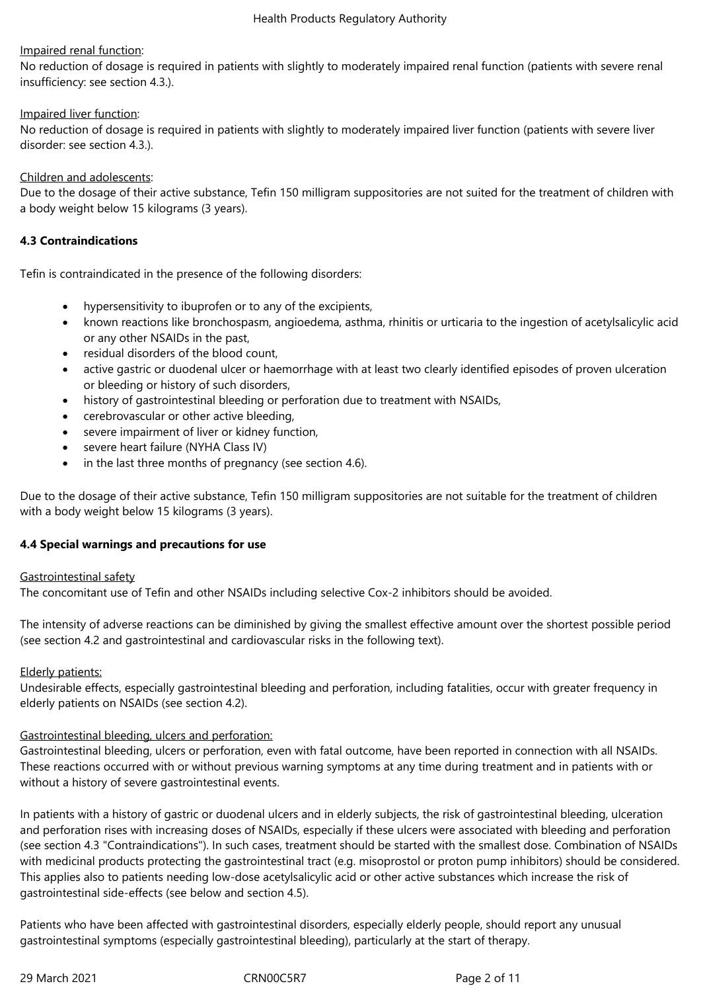## Impaired renal function:

No reduction of dosage is required in patients with slightly to moderately impaired renal function (patients with severe renal insufficiency: see section 4.3.).

## Impaired liver function:

No reduction of dosage is required in patients with slightly to moderately impaired liver function (patients with severe liver disorder: see section 4.3.).

## Children and adolescents:

Due to the dosage of their active substance, Tefin 150 milligram suppositories are not suited for the treatment of children with a body weight below 15 kilograms (3 years).

## **4.3 Contraindications**

Tefin is contraindicated in the presence of the following disorders:

- hypersensitivity to ibuprofen or to any of the excipients,
- known reactions like bronchospasm, angioedema, asthma, rhinitis or urticaria to the ingestion of acetylsalicylic acid or any other NSAIDs in the past,
- residual disorders of the blood count,
- active gastric or duodenal ulcer or haemorrhage with at least two clearly identified episodes of proven ulceration or bleeding or history of such disorders,
- history of gastrointestinal bleeding or perforation due to treatment with NSAIDs,
- cerebrovascular or other active bleeding,
- severe impairment of liver or kidney function,
- severe heart failure (NYHA Class IV)
- in the last three months of pregnancy (see section 4.6).

Due to the dosage of their active substance, Tefin 150 milligram suppositories are not suitable for the treatment of children with a body weight below 15 kilograms (3 years).

## **4.4 Special warnings and precautions for use**

## Gastrointestinal safety

The concomitant use of Tefin and other NSAIDs including selective Cox-2 inhibitors should be avoided.

The intensity of adverse reactions can be diminished by giving the smallest effective amount over the shortest possible period (see section 4.2 and gastrointestinal and cardiovascular risks in the following text).

## **Elderly patients:**

Undesirable effects, especially gastrointestinal bleeding and perforation, including fatalities, occur with greater frequency in elderly patients on NSAIDs (see section 4.2).

## Gastrointestinal bleeding, ulcers and perforation:

Gastrointestinal bleeding, ulcers or perforation, even with fatal outcome, have been reported in connection with all NSAIDs. These reactions occurred with or without previous warning symptoms at any time during treatment and in patients with or without a history of severe gastrointestinal events.

In patients with a history of gastric or duodenal ulcers and in elderly subjects, the risk of gastrointestinal bleeding, ulceration and perforation rises with increasing doses of NSAIDs, especially if these ulcers were associated with bleeding and perforation (see section 4.3 "Contraindications"). In such cases, treatment should be started with the smallest dose. Combination of NSAIDs with medicinal products protecting the gastrointestinal tract (e.g. misoprostol or proton pump inhibitors) should be considered. This applies also to patients needing low-dose acetylsalicylic acid or other active substances which increase the risk of gastrointestinal side-effects (see below and section 4.5).

Patients who have been affected with gastrointestinal disorders, especially elderly people, should report any unusual gastrointestinal symptoms (especially gastrointestinal bleeding), particularly at the start of therapy.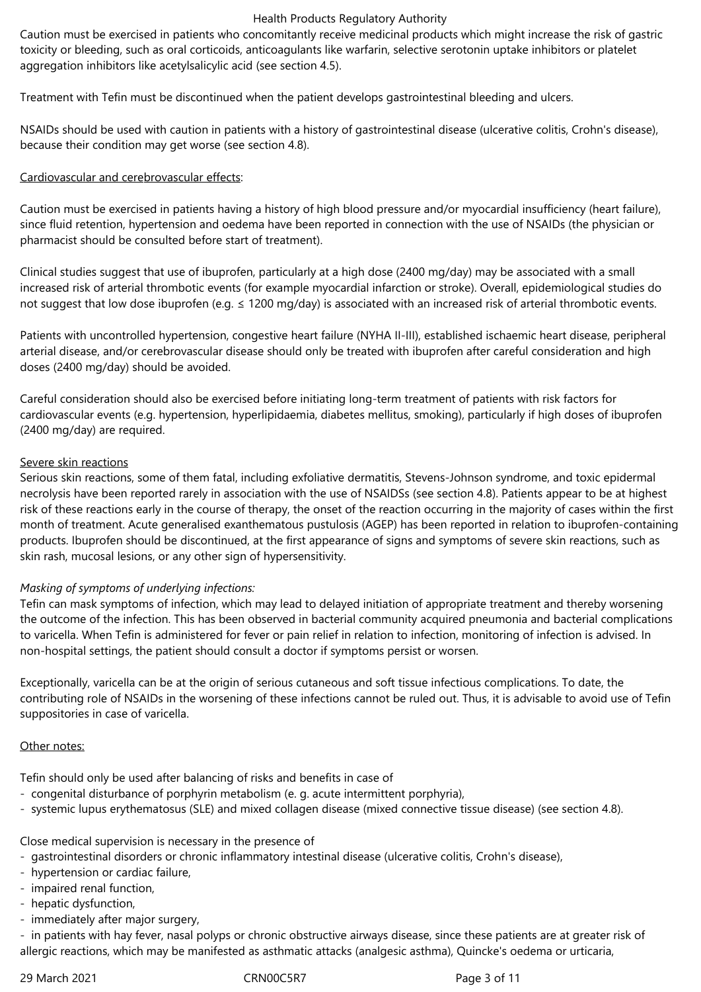Caution must be exercised in patients who concomitantly receive medicinal products which might increase the risk of gastric toxicity or bleeding, such as oral corticoids, anticoagulants like warfarin, selective serotonin uptake inhibitors or platelet aggregation inhibitors like acetylsalicylic acid (see section 4.5).

Treatment with Tefin must be discontinued when the patient develops gastrointestinal bleeding and ulcers.

NSAIDs should be used with caution in patients with a history of gastrointestinal disease (ulcerative colitis, Crohn's disease), because their condition may get worse (see section 4.8).

## Cardiovascular and cerebrovascular effects:

Caution must be exercised in patients having a history of high blood pressure and/or myocardial insufficiency (heart failure), since fluid retention, hypertension and oedema have been reported in connection with the use of NSAIDs (the physician or pharmacist should be consulted before start of treatment).

Clinical studies suggest that use of ibuprofen, particularly at a high dose (2400 mg/day) may be associated with a small increased risk of arterial thrombotic events (for example myocardial infarction or stroke). Overall, epidemiological studies do not suggest that low dose ibuprofen (e.g. ≤ 1200 mg/day) is associated with an increased risk of arterial thrombotic events.

Patients with uncontrolled hypertension, congestive heart failure (NYHA II-III), established ischaemic heart disease, peripheral arterial disease, and/or cerebrovascular disease should only be treated with ibuprofen after careful consideration and high doses (2400 mg/day) should be avoided.

Careful consideration should also be exercised before initiating long-term treatment of patients with risk factors for cardiovascular events (e.g. hypertension, hyperlipidaemia, diabetes mellitus, smoking), particularly if high doses of ibuprofen (2400 mg/day) are required.

## Severe skin reactions

Serious skin reactions, some of them fatal, including exfoliative dermatitis, Stevens-Johnson syndrome, and toxic epidermal necrolysis have been reported rarely in association with the use of NSAIDSs (see section 4.8). Patients appear to be at highest risk of these reactions early in the course of therapy, the onset of the reaction occurring in the majority of cases within the first month of treatment. Acute generalised exanthematous pustulosis (AGEP) has been reported in relation to ibuprofen-containing products. Ibuprofen should be discontinued, at the first appearance of signs and symptoms of severe skin reactions, such as skin rash, mucosal lesions, or any other sign of hypersensitivity.

# *Masking of symptoms of underlying infections:*

Tefin can mask symptoms of infection, which may lead to delayed initiation of appropriate treatment and thereby worsening the outcome of the infection. This has been observed in bacterial community acquired pneumonia and bacterial complications to varicella. When Tefin is administered for fever or pain relief in relation to infection, monitoring of infection is advised. In non-hospital settings, the patient should consult a doctor if symptoms persist or worsen.

Exceptionally, varicella can be at the origin of serious cutaneous and soft tissue infectious complications. To date, the contributing role of NSAIDs in the worsening of these infections cannot be ruled out. Thus, it is advisable to avoid use of Tefin suppositories in case of varicella.

## Other notes:

Tefin should only be used after balancing of risks and benefits in case of

- congenital disturbance of porphyrin metabolism (e. g. acute intermittent porphyria),
- systemic lupus erythematosus (SLE) and mixed collagen disease (mixed connective tissue disease) (see section 4.8).

Close medical supervision is necessary in the presence of

- gastrointestinal disorders or chronic inflammatory intestinal disease (ulcerative colitis, Crohn's disease),
- hypertension or cardiac failure,
- impaired renal function,
- hepatic dysfunction,
- immediately after major surgery,

- in patients with hay fever, nasal polyps or chronic obstructive airways disease, since these patients are at greater risk of allergic reactions, which may be manifested as asthmatic attacks (analgesic asthma), Quincke's oedema or urticaria,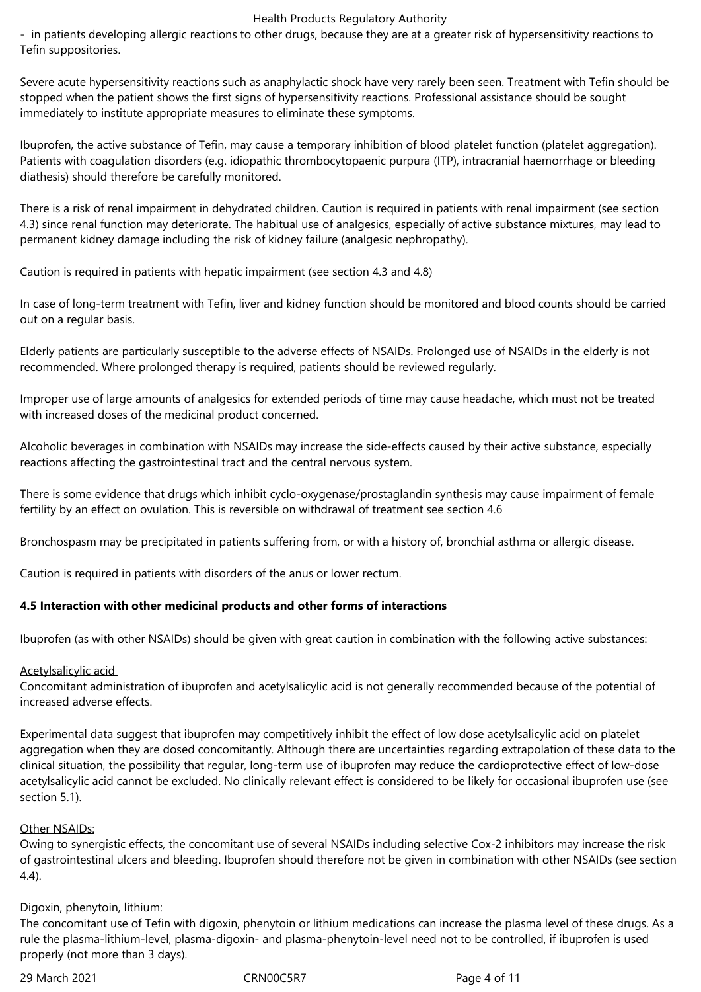- in patients developing allergic reactions to other drugs, because they are at a greater risk of hypersensitivity reactions to Tefin suppositories.

Severe acute hypersensitivity reactions such as anaphylactic shock have very rarely been seen. Treatment with Tefin should be stopped when the patient shows the first signs of hypersensitivity reactions. Professional assistance should be sought immediately to institute appropriate measures to eliminate these symptoms.

Ibuprofen, the active substance of Tefin, may cause a temporary inhibition of blood platelet function (platelet aggregation). Patients with coagulation disorders (e.g. idiopathic thrombocytopaenic purpura (ITP), intracranial haemorrhage or bleeding diathesis) should therefore be carefully monitored.

There is a risk of renal impairment in dehydrated children. Caution is required in patients with renal impairment (see section 4.3) since renal function may deteriorate. The habitual use of analgesics, especially of active substance mixtures, may lead to permanent kidney damage including the risk of kidney failure (analgesic nephropathy).

Caution is required in patients with hepatic impairment (see section 4.3 and 4.8)

In case of long-term treatment with Tefin, liver and kidney function should be monitored and blood counts should be carried out on a regular basis.

Elderly patients are particularly susceptible to the adverse effects of NSAIDs. Prolonged use of NSAIDs in the elderly is not recommended. Where prolonged therapy is required, patients should be reviewed regularly.

Improper use of large amounts of analgesics for extended periods of time may cause headache, which must not be treated with increased doses of the medicinal product concerned.

Alcoholic beverages in combination with NSAIDs may increase the side-effects caused by their active substance, especially reactions affecting the gastrointestinal tract and the central nervous system.

There is some evidence that drugs which inhibit cyclo-oxygenase/prostaglandin synthesis may cause impairment of female fertility by an effect on ovulation. This is reversible on withdrawal of treatment see section 4.6

Bronchospasm may be precipitated in patients suffering from, or with a history of, bronchial asthma or allergic disease.

Caution is required in patients with disorders of the anus or lower rectum.

# **4.5 Interaction with other medicinal products and other forms of interactions**

Ibuprofen (as with other NSAIDs) should be given with great caution in combination with the following active substances:

## Acetylsalicylic acid

Concomitant administration of ibuprofen and acetylsalicylic acid is not generally recommended because of the potential of increased adverse effects.

Experimental data suggest that ibuprofen may competitively inhibit the effect of low dose acetylsalicylic acid on platelet aggregation when they are dosed concomitantly. Although there are uncertainties regarding extrapolation of these data to the clinical situation, the possibility that regular, long-term use of ibuprofen may reduce the cardioprotective effect of low-dose acetylsalicylic acid cannot be excluded. No clinically relevant effect is considered to be likely for occasional ibuprofen use (see section 5.1).

## Other NSAIDs:

Owing to synergistic effects, the concomitant use of several NSAIDs including selective Cox-2 inhibitors may increase the risk of gastrointestinal ulcers and bleeding. Ibuprofen should therefore not be given in combination with other NSAIDs (see section 4.4).

## Digoxin, phenytoin, lithium:

The concomitant use of Tefin with digoxin, phenytoin or lithium medications can increase the plasma level of these drugs. As a rule the plasma-lithium-level, plasma-digoxin- and plasma-phenytoin-level need not to be controlled, if ibuprofen is used properly (not more than 3 days).

29 March 2021 **CRNOOC5R7** Page 4 of 11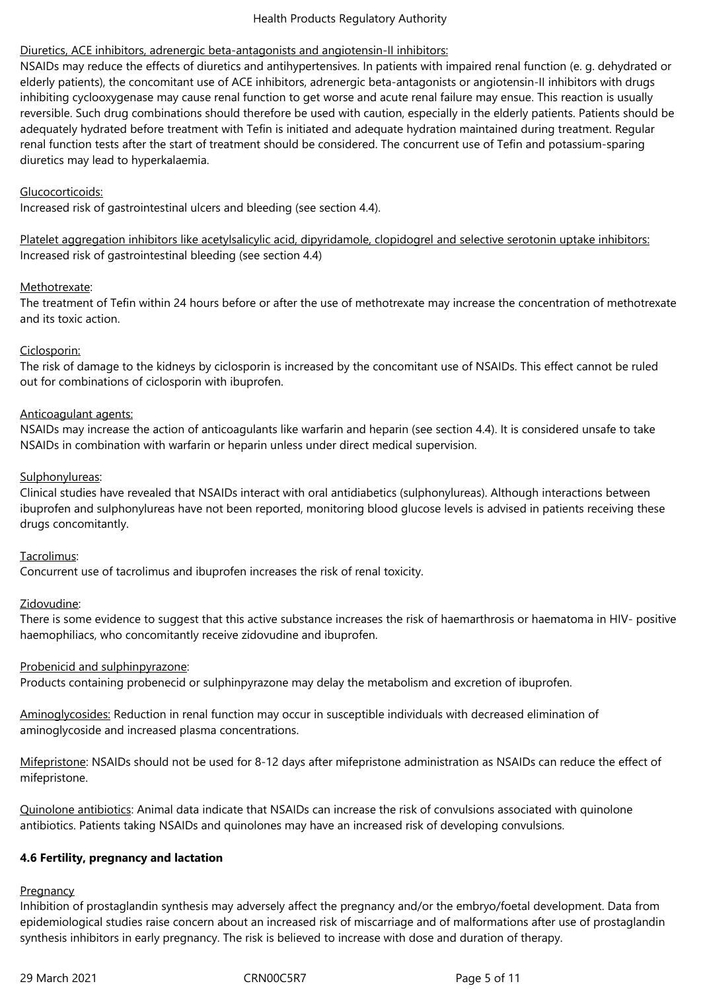## Diuretics, ACE inhibitors, adrenergic beta-antagonists and angiotensin-II inhibitors:

NSAIDs may reduce the effects of diuretics and antihypertensives. In patients with impaired renal function (e. g. dehydrated or elderly patients), the concomitant use of ACE inhibitors, adrenergic beta-antagonists or angiotensin-II inhibitors with drugs inhibiting cyclooxygenase may cause renal function to get worse and acute renal failure may ensue. This reaction is usually reversible. Such drug combinations should therefore be used with caution, especially in the elderly patients. Patients should be adequately hydrated before treatment with Tefin is initiated and adequate hydration maintained during treatment. Regular renal function tests after the start of treatment should be considered. The concurrent use of Tefin and potassium-sparing diuretics may lead to hyperkalaemia.

## Glucocorticoids:

Increased risk of gastrointestinal ulcers and bleeding (see section 4.4).

Platelet aggregation inhibitors like acetylsalicylic acid, dipyridamole, clopidogrel and selective serotonin uptake inhibitors: Increased risk of gastrointestinal bleeding (see section 4.4)

## Methotrexate:

The treatment of Tefin within 24 hours before or after the use of methotrexate may increase the concentration of methotrexate and its toxic action.

## Ciclosporin:

The risk of damage to the kidneys by ciclosporin is increased by the concomitant use of NSAIDs. This effect cannot be ruled out for combinations of ciclosporin with ibuprofen.

## Anticoagulant agents:

NSAIDs may increase the action of anticoagulants like warfarin and heparin (see section 4.4). It is considered unsafe to take NSAIDs in combination with warfarin or heparin unless under direct medical supervision.

## Sulphonylureas:

Clinical studies have revealed that NSAIDs interact with oral antidiabetics (sulphonylureas). Although interactions between ibuprofen and sulphonylureas have not been reported, monitoring blood glucose levels is advised in patients receiving these drugs concomitantly.

## Tacrolimus:

Concurrent use of tacrolimus and ibuprofen increases the risk of renal toxicity.

## Zidovudine:

There is some evidence to suggest that this active substance increases the risk of haemarthrosis or haematoma in HIV- positive haemophiliacs, who concomitantly receive zidovudine and ibuprofen.

## Probenicid and sulphinpyrazone:

Products containing probenecid or sulphinpyrazone may delay the metabolism and excretion of ibuprofen.

Aminoglycosides: Reduction in renal function may occur in susceptible individuals with decreased elimination of aminoglycoside and increased plasma concentrations.

Mifepristone: NSAIDs should not be used for 8-12 days after mifepristone administration as NSAIDs can reduce the effect of mifepristone.

Quinolone antibiotics: Animal data indicate that NSAIDs can increase the risk of convulsions associated with quinolone antibiotics. Patients taking NSAIDs and quinolones may have an increased risk of developing convulsions.

## **4.6 Fertility, pregnancy and lactation**

## **Pregnancy**

Inhibition of prostaglandin synthesis may adversely affect the pregnancy and/or the embryo/foetal development. Data from epidemiological studies raise concern about an increased risk of miscarriage and of malformations after use of prostaglandin synthesis inhibitors in early pregnancy. The risk is believed to increase with dose and duration of therapy.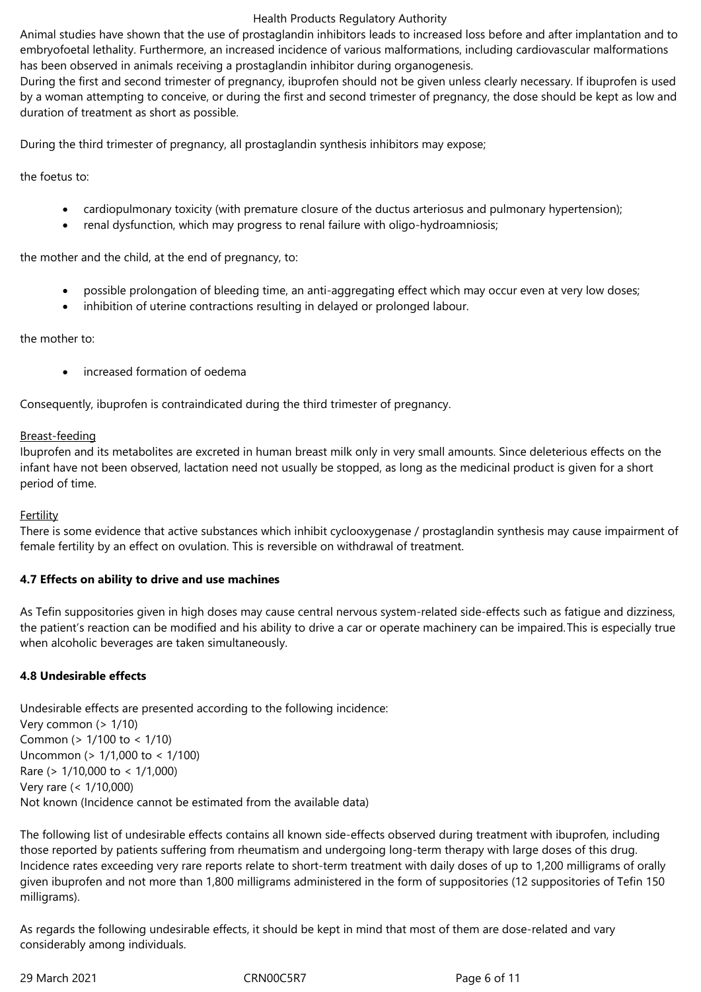Animal studies have shown that the use of prostaglandin inhibitors leads to increased loss before and after implantation and to embryofoetal lethality. Furthermore, an increased incidence of various malformations, including cardiovascular malformations has been observed in animals receiving a prostaglandin inhibitor during organogenesis.

During the first and second trimester of pregnancy, ibuprofen should not be given unless clearly necessary. If ibuprofen is used by a woman attempting to conceive, or during the first and second trimester of pregnancy, the dose should be kept as low and duration of treatment as short as possible.

During the third trimester of pregnancy, all prostaglandin synthesis inhibitors may expose;

the foetus to:

- cardiopulmonary toxicity (with premature closure of the ductus arteriosus and pulmonary hypertension);
- renal dysfunction, which may progress to renal failure with oligo-hydroamniosis;

the mother and the child, at the end of pregnancy, to:

- possible prolongation of bleeding time, an anti-aggregating effect which may occur even at very low doses;
- inhibition of uterine contractions resulting in delayed or prolonged labour.

the mother to:

increased formation of oedema

Consequently, ibuprofen is contraindicated during the third trimester of pregnancy.

## Breast-feeding

Ibuprofen and its metabolites are excreted in human breast milk only in very small amounts. Since deleterious effects on the infant have not been observed, lactation need not usually be stopped, as long as the medicinal product is given for a short period of time.

## Fertility

There is some evidence that active substances which inhibit cyclooxygenase / prostaglandin synthesis may cause impairment of female fertility by an effect on ovulation. This is reversible on withdrawal of treatment.

## **4.7 Effects on ability to drive and use machines**

As Tefin suppositories given in high doses may cause central nervous system-related side-effects such as fatigue and dizziness, the patient's reaction can be modified and his ability to drive a car or operate machinery can be impaired.This is especially true when alcoholic beverages are taken simultaneously.

## **4.8 Undesirable effects**

Undesirable effects are presented according to the following incidence: Very common (> 1/10) Common (> 1/100 to < 1/10) Uncommon (> 1/1,000 to < 1/100) Rare (> 1/10,000 to < 1/1,000) Very rare (< 1/10,000) Not known (Incidence cannot be estimated from the available data)

The following list of undesirable effects contains all known side-effects observed during treatment with ibuprofen, including those reported by patients suffering from rheumatism and undergoing long-term therapy with large doses of this drug. Incidence rates exceeding very rare reports relate to short-term treatment with daily doses of up to 1,200 milligrams of orally given ibuprofen and not more than 1,800 milligrams administered in the form of suppositories (12 suppositories of Tefin 150 milligrams).

As regards the following undesirable effects, it should be kept in mind that most of them are dose-related and vary considerably among individuals.

29 March 2021 **CRNOOC5R7** Page 6 of 11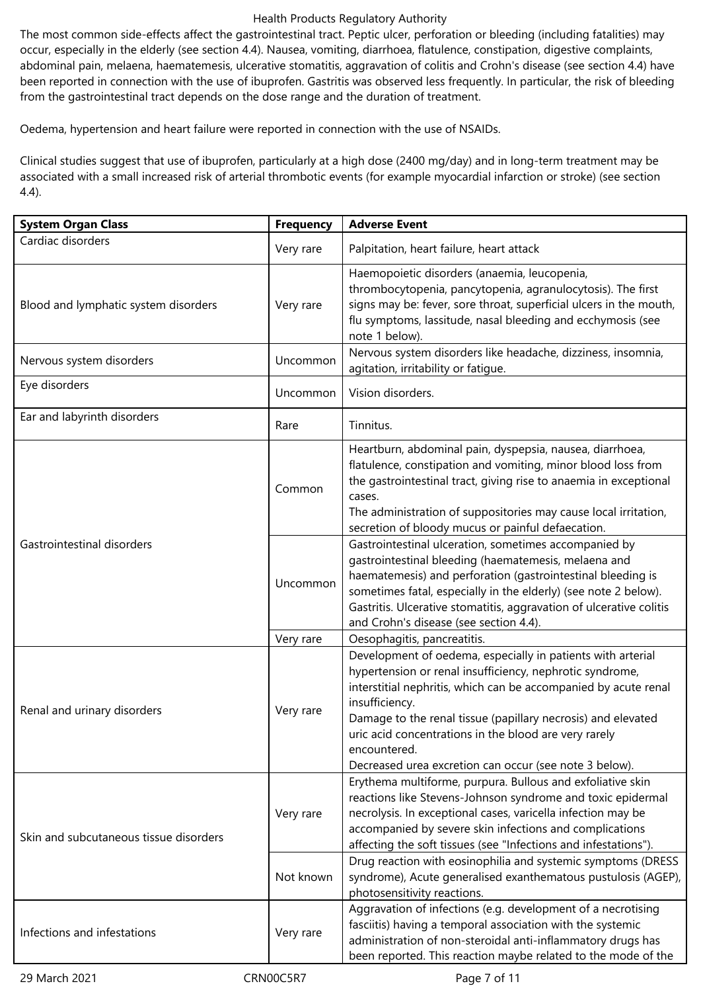The most common side-effects affect the gastrointestinal tract. Peptic ulcer, perforation or bleeding (including fatalities) may occur, especially in the elderly (see section 4.4). Nausea, vomiting, diarrhoea, flatulence, constipation, digestive complaints, abdominal pain, melaena, haematemesis, ulcerative stomatitis, aggravation of colitis and Crohn's disease (see section 4.4) have been reported in connection with the use of ibuprofen. Gastritis was observed less frequently. In particular, the risk of bleeding from the gastrointestinal tract depends on the dose range and the duration of treatment.

Oedema, hypertension and heart failure were reported in connection with the use of NSAIDs.

Clinical studies suggest that use of ibuprofen, particularly at a high dose (2400 mg/day) and in long-term treatment may be associated with a small increased risk of arterial thrombotic events (for example myocardial infarction or stroke) (see section 4.4).

| <b>System Organ Class</b>              | <b>Frequency</b> | <b>Adverse Event</b>                                                                                                                                                                                                                                                                                                                                                              |  |
|----------------------------------------|------------------|-----------------------------------------------------------------------------------------------------------------------------------------------------------------------------------------------------------------------------------------------------------------------------------------------------------------------------------------------------------------------------------|--|
| Cardiac disorders                      | Very rare        | Palpitation, heart failure, heart attack                                                                                                                                                                                                                                                                                                                                          |  |
| Blood and lymphatic system disorders   | Very rare        | Haemopoietic disorders (anaemia, leucopenia,<br>thrombocytopenia, pancytopenia, agranulocytosis). The first<br>signs may be: fever, sore throat, superficial ulcers in the mouth,<br>flu symptoms, lassitude, nasal bleeding and ecchymosis (see<br>note 1 below).                                                                                                                |  |
| Nervous system disorders               | Uncommon         | Nervous system disorders like headache, dizziness, insomnia,<br>agitation, irritability or fatigue.                                                                                                                                                                                                                                                                               |  |
| Eye disorders                          | Uncommon         | Vision disorders.                                                                                                                                                                                                                                                                                                                                                                 |  |
| Ear and labyrinth disorders            | Rare             | Tinnitus.                                                                                                                                                                                                                                                                                                                                                                         |  |
|                                        | Common           | Heartburn, abdominal pain, dyspepsia, nausea, diarrhoea,<br>flatulence, constipation and vomiting, minor blood loss from<br>the gastrointestinal tract, giving rise to anaemia in exceptional<br>cases.<br>The administration of suppositories may cause local irritation,<br>secretion of bloody mucus or painful defaecation.                                                   |  |
| Gastrointestinal disorders             | Uncommon         | Gastrointestinal ulceration, sometimes accompanied by<br>gastrointestinal bleeding (haematemesis, melaena and<br>haematemesis) and perforation (gastrointestinal bleeding is<br>sometimes fatal, especially in the elderly) (see note 2 below).<br>Gastritis. Ulcerative stomatitis, aggravation of ulcerative colitis<br>and Crohn's disease (see section 4.4).                  |  |
|                                        | Very rare        | Oesophagitis, pancreatitis.                                                                                                                                                                                                                                                                                                                                                       |  |
| Renal and urinary disorders            | Very rare        | Development of oedema, especially in patients with arterial<br>hypertension or renal insufficiency, nephrotic syndrome,<br>interstitial nephritis, which can be accompanied by acute renal<br>insufficiency.<br>Damage to the renal tissue (papillary necrosis) and elevated<br>uric acid concentrations in the blood are very rarely<br>encountered.                             |  |
| Skin and subcutaneous tissue disorders | Very rare        | Decreased urea excretion can occur (see note 3 below).<br>Erythema multiforme, purpura. Bullous and exfoliative skin<br>reactions like Stevens-Johnson syndrome and toxic epidermal<br>necrolysis. In exceptional cases, varicella infection may be<br>accompanied by severe skin infections and complications<br>affecting the soft tissues (see "Infections and infestations"). |  |
|                                        | Not known        | Drug reaction with eosinophilia and systemic symptoms (DRESS<br>syndrome), Acute generalised exanthematous pustulosis (AGEP),<br>photosensitivity reactions.                                                                                                                                                                                                                      |  |
| Infections and infestations            | Very rare        | Aggravation of infections (e.g. development of a necrotising<br>fasciitis) having a temporal association with the systemic<br>administration of non-steroidal anti-inflammatory drugs has<br>been reported. This reaction maybe related to the mode of the                                                                                                                        |  |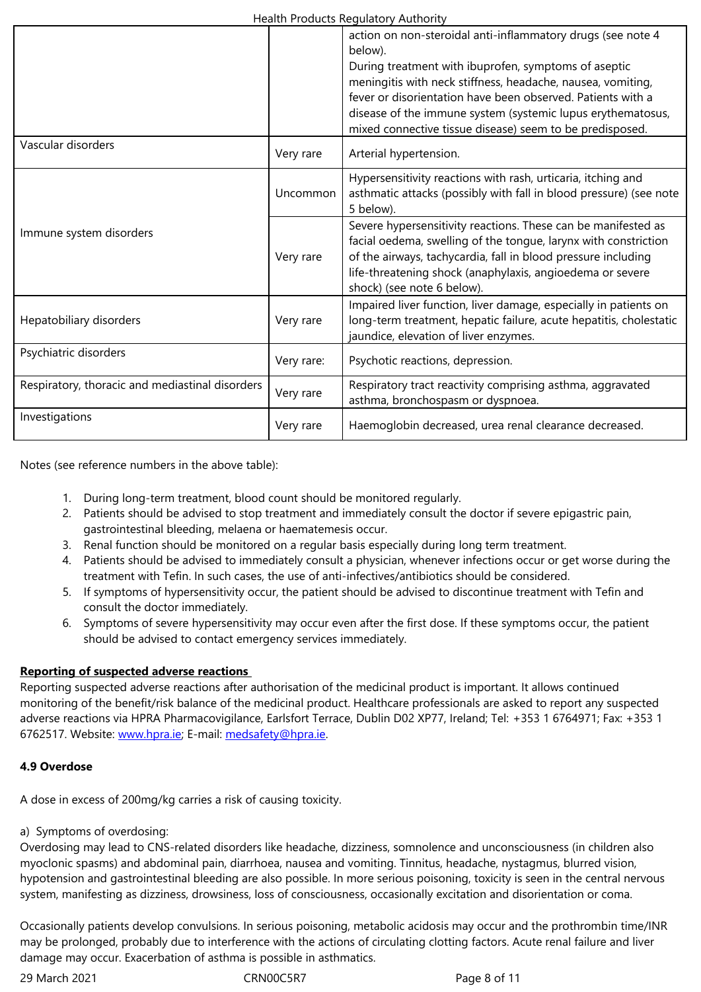|                                                 |            | During treatment with ibuprofen, symptoms of aseptic<br>meningitis with neck stiffness, headache, nausea, vomiting,<br>fever or disorientation have been observed. Patients with a<br>disease of the immune system (systemic lupus erythematosus,                                            |
|-------------------------------------------------|------------|----------------------------------------------------------------------------------------------------------------------------------------------------------------------------------------------------------------------------------------------------------------------------------------------|
| Vascular disorders                              | Very rare  | mixed connective tissue disease) seem to be predisposed.<br>Arterial hypertension.                                                                                                                                                                                                           |
|                                                 | Uncommon   | Hypersensitivity reactions with rash, urticaria, itching and<br>asthmatic attacks (possibly with fall in blood pressure) (see note<br>5 below).                                                                                                                                              |
| Immune system disorders                         | Very rare  | Severe hypersensitivity reactions. These can be manifested as<br>facial oedema, swelling of the tongue, larynx with constriction<br>of the airways, tachycardia, fall in blood pressure including<br>life-threatening shock (anaphylaxis, angioedema or severe<br>shock) (see note 6 below). |
| Hepatobiliary disorders                         | Very rare  | Impaired liver function, liver damage, especially in patients on<br>long-term treatment, hepatic failure, acute hepatitis, cholestatic<br>jaundice, elevation of liver enzymes.                                                                                                              |
| Psychiatric disorders                           | Very rare: | Psychotic reactions, depression.                                                                                                                                                                                                                                                             |
| Respiratory, thoracic and mediastinal disorders | Very rare  | Respiratory tract reactivity comprising asthma, aggravated<br>asthma, bronchospasm or dyspnoea.                                                                                                                                                                                              |
| Investigations                                  | Very rare  | Haemoglobin decreased, urea renal clearance decreased.                                                                                                                                                                                                                                       |

Notes (see reference numbers in the above table):

- 1. During long-term treatment, blood count should be monitored regularly.
- 2. Patients should be advised to stop treatment and immediately consult the doctor if severe epigastric pain, gastrointestinal bleeding, melaena or haematemesis occur.
- 3. Renal function should be monitored on a regular basis especially during long term treatment.
- 4. Patients should be advised to immediately consult a physician, whenever infections occur or get worse during the treatment with Tefin. In such cases, the use of anti-infectives/antibiotics should be considered.
- 5. If symptoms of hypersensitivity occur, the patient should be advised to discontinue treatment with Tefin and consult the doctor immediately.
- 6. Symptoms of severe hypersensitivity may occur even after the first dose. If these symptoms occur, the patient should be advised to contact emergency services immediately.

# **Reporting of suspected adverse reactions**

Reporting suspected adverse reactions after authorisation of the medicinal product is important. It allows continued monitoring of the benefit/risk balance of the medicinal product. Healthcare professionals are asked to report any suspected adverse reactions via HPRA Pharmacovigilance, Earlsfort Terrace, Dublin D02 XP77, Ireland; Tel: +353 1 6764971; Fax: +353 1 6762517. Website: www.hpra.ie; E-mail: medsafety@hpra.ie.

## **4.9 Overdose**

A dose in excess o[f 200mg/kg c](http://www.hpra.ie/)arries a [risk of causing toxic](mailto:medsafety@hpra.ie)ity.

a) Symptoms of overdosing:

Overdosing may lead to CNS-related disorders like headache, dizziness, somnolence and unconsciousness (in children also myoclonic spasms) and abdominal pain, diarrhoea, nausea and vomiting. Tinnitus, headache, nystagmus, blurred vision, hypotension and gastrointestinal bleeding are also possible. In more serious poisoning, toxicity is seen in the central nervous system, manifesting as dizziness, drowsiness, loss of consciousness, occasionally excitation and disorientation or coma.

Occasionally patients develop convulsions. In serious poisoning, metabolic acidosis may occur and the prothrombin time/INR may be prolonged, probably due to interference with the actions of circulating clotting factors. Acute renal failure and liver damage may occur. Exacerbation of asthma is possible in asthmatics.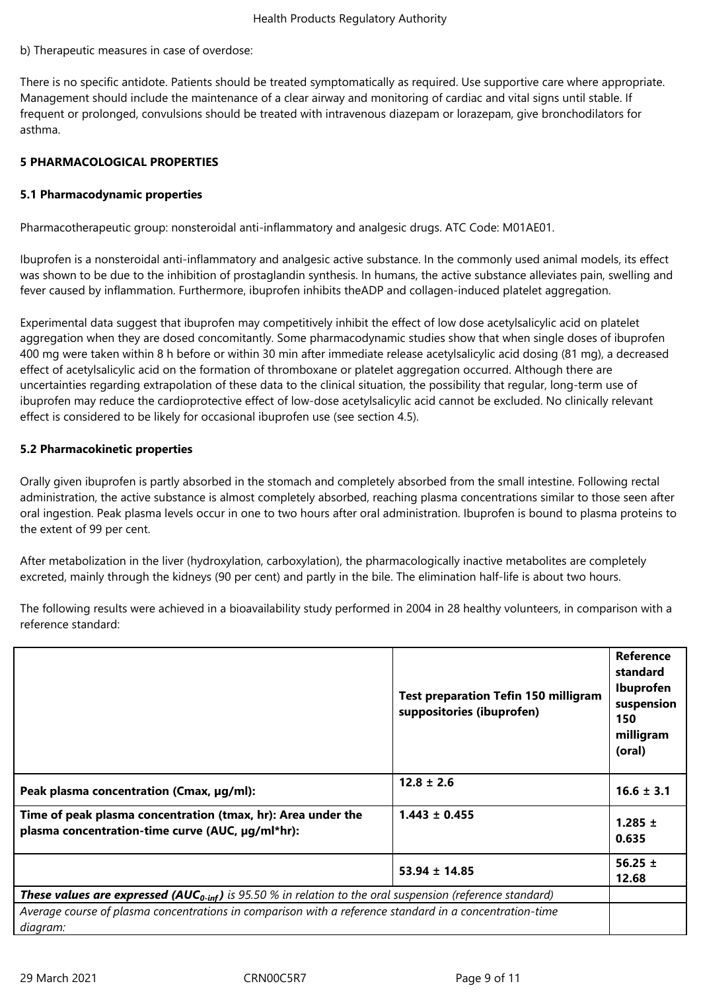#### b) Therapeutic measures in case of overdose:

There is no specific antidote. Patients should be treated symptomatically as required. Use supportive care where appropriate. Management should include the maintenance of a clear airway and monitoring of cardiac and vital signs until stable. If frequent or prolonged, convulsions should be treated with intravenous diazepam or lorazepam, give bronchodilators for asthma.

## **5 PHARMACOLOGICAL PROPERTIES**

#### **5.1 Pharmacodynamic properties**

Pharmacotherapeutic group: nonsteroidal anti-inflammatory and analgesic drugs. ATC Code: M01AE01.

Ibuprofen is a nonsteroidal anti-inflammatory and analgesic active substance. In the commonly used animal models, its effect was shown to be due to the inhibition of prostaglandin synthesis. In humans, the active substance alleviates pain, swelling and fever caused by inflammation. Furthermore, ibuprofen inhibits theADP and collagen-induced platelet aggregation.

Experimental data suggest that ibuprofen may competitively inhibit the effect of low dose acetylsalicylic acid on platelet aggregation when they are dosed concomitantly. Some pharmacodynamic studies show that when single doses of ibuprofen 400 mg were taken within 8 h before or within 30 min after immediate release acetylsalicylic acid dosing (81 mg), a decreased effect of acetylsalicylic acid on the formation of thromboxane or platelet aggregation occurred. Although there are uncertainties regarding extrapolation of these data to the clinical situation, the possibility that regular, long-term use of ibuprofen may reduce the cardioprotective effect of low-dose acetylsalicylic acid cannot be excluded. No clinically relevant effect is considered to be likely for occasional ibuprofen use (see section 4.5).

#### **5.2 Pharmacokinetic properties**

Orally given ibuprofen is partly absorbed in the stomach and completely absorbed from the small intestine. Following rectal administration, the active substance is almost completely absorbed, reaching plasma concentrations similar to those seen after oral ingestion. Peak plasma levels occur in one to two hours after oral administration. Ibuprofen is bound to plasma proteins to the extent of 99 per cent.

After metabolization in the liver (hydroxylation, carboxylation), the pharmacologically inactive metabolites are completely excreted, mainly through the kidneys (90 per cent) and partly in the bile. The elimination half-life is about two hours.

The following results were achieved in a bioavailability study performed in 2004 in 28 healthy volunteers, in comparison with a reference standard:

|                                                                                                                            | <b>Test preparation Tefin 150 milligram</b><br>suppositories (ibuprofen) | <b>Reference</b><br>standard<br>Ibuprofen<br>suspension<br>150<br>milligram<br>(oral) |
|----------------------------------------------------------------------------------------------------------------------------|--------------------------------------------------------------------------|---------------------------------------------------------------------------------------|
| Peak plasma concentration (Cmax, µg/ml):                                                                                   | $12.8 \pm 2.6$                                                           | $16.6 \pm 3.1$                                                                        |
| Time of peak plasma concentration (tmax, hr): Area under the<br>plasma concentration-time curve (AUC, µg/ml*hr):           | $1.443 \pm 0.455$                                                        | 1.285 $\pm$<br>0.635                                                                  |
|                                                                                                                            | $53.94 \pm 14.85$                                                        | 56.25 $\pm$<br>12.68                                                                  |
| <b>These values are expressed (AUC<sub>0-inf</sub>)</b> is 95.50 % in relation to the oral suspension (reference standard) |                                                                          |                                                                                       |
| Average course of plasma concentrations in comparison with a reference standard in a concentration-time<br>diagram:        |                                                                          |                                                                                       |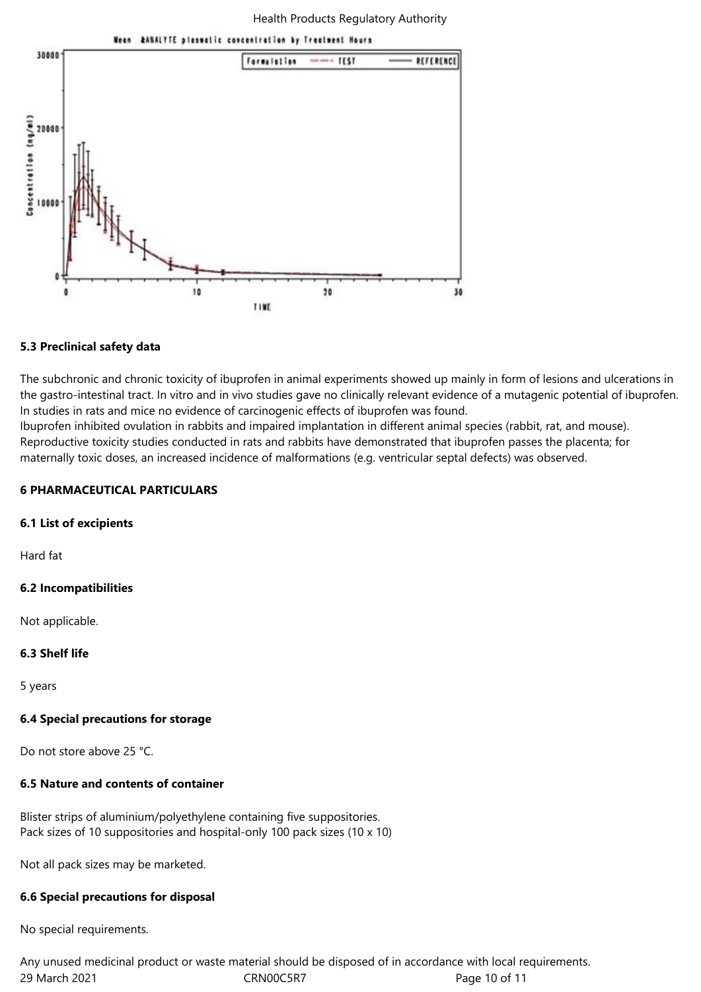

#### **5.3 Preclinical safety data**

The subchronic and chronic toxicity of ibuprofen in animal experiments showed up mainly in form of lesions and ulcerations in the gastro-intestinal tract. In vitro and in vivo studies gave no clinically relevant evidence of a mutagenic potential of ibuprofen. In studies in rats and mice no evidence of carcinogenic effects of ibuprofen was found.

Ibuprofen inhibited ovulation in rabbits and impaired implantation in different animal species (rabbit, rat, and mouse). Reproductive toxicity studies conducted in rats and rabbits have demonstrated that ibuprofen passes the placenta; for maternally toxic doses, an increased incidence of malformations (e.g. ventricular septal defects) was observed.

#### **6 PHARMACEUTICAL PARTICULARS**

#### **6.1 List of excipients**

Hard fat

## **6.2 Incompatibilities**

Not applicable.

## **6.3 Shelf life**

5 years

## **6.4 Special precautions for storage**

Do not store above 25 °C.

## **6.5 Nature and contents of container**

Blister strips of aluminium/polyethylene containing five suppositories. Pack sizes of 10 suppositories and hospital-only 100 pack sizes (10 x 10)

Not all pack sizes may be marketed.

## **6.6 Special precautions for disposal**

No special requirements.

29 March 2021 CRN00C5R7 Page 10 of 11 Any unused medicinal product or waste material should be disposed of in accordance with local requirements.